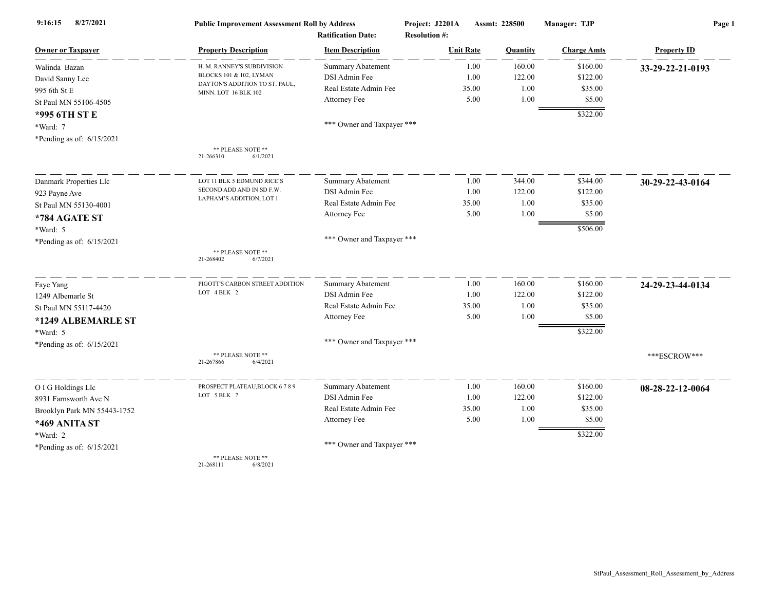| 8/27/2021<br>9:16:15        | <b>Public Improvement Assessment Roll by Address</b><br><b>Ratification Date:</b> |                            | Project: J2201A<br><b>Resolution #:</b> | Assmt: 228500 |                    | Page 1             |  |
|-----------------------------|-----------------------------------------------------------------------------------|----------------------------|-----------------------------------------|---------------|--------------------|--------------------|--|
| <b>Owner or Taxpayer</b>    | <b>Property Description</b>                                                       | <b>Item Description</b>    | <b>Unit Rate</b>                        | Quantity      | <b>Charge Amts</b> | <b>Property ID</b> |  |
| Walinda Bazan               | H. M. RANNEY'S SUBDIVISION                                                        | <b>Summary Abatement</b>   | 1.00                                    | 160.00        | \$160.00           | 33-29-22-21-0193   |  |
| David Sanny Lee             | BLOCKS 101 & 102, LYMAN                                                           | DSI Admin Fee              | 1.00                                    | 122.00        | \$122.00           |                    |  |
| 995 6th St E                | DAYTON'S ADDITION TO ST. PAUL,<br>MINN. LOT 16 BLK 102                            | Real Estate Admin Fee      | 35.00                                   | 1.00          | \$35.00            |                    |  |
| St Paul MN 55106-4505       |                                                                                   | Attorney Fee               | 5.00                                    | 1.00          | \$5.00             |                    |  |
| *995 6TH ST E               |                                                                                   |                            |                                         |               | \$322.00           |                    |  |
| *Ward: 7                    |                                                                                   | *** Owner and Taxpayer *** |                                         |               |                    |                    |  |
| *Pending as of: 6/15/2021   |                                                                                   |                            |                                         |               |                    |                    |  |
|                             | ** PLEASE NOTE **<br>21-266310<br>6/1/2021                                        |                            |                                         |               |                    |                    |  |
| Danmark Properties Llc      | LOT 11 BLK 5 EDMUND RICE'S                                                        | Summary Abatement          | 1.00                                    | 344.00        | \$344.00           | 30-29-22-43-0164   |  |
| 923 Payne Ave               | SECOND ADD AND IN SD F.W.                                                         | DSI Admin Fee              | 1.00                                    | 122.00        | \$122.00           |                    |  |
| St Paul MN 55130-4001       | LAPHAM'S ADDITION, LOT 1                                                          | Real Estate Admin Fee      | 35.00                                   | 1.00          | \$35.00            |                    |  |
| *784 AGATE ST               |                                                                                   | Attorney Fee               | 5.00                                    | 1.00          | \$5.00             |                    |  |
| *Ward: 5                    |                                                                                   |                            |                                         |               | \$506.00           |                    |  |
| *Pending as of: 6/15/2021   |                                                                                   | *** Owner and Taxpayer *** |                                         |               |                    |                    |  |
|                             | ** PLEASE NOTE **<br>21-268402<br>6/7/2021                                        |                            |                                         |               |                    |                    |  |
| Faye Yang                   | PIGOTT'S CARBON STREET ADDITION                                                   | Summary Abatement          | 1.00                                    | 160.00        | \$160.00           | 24-29-23-44-0134   |  |
| 1249 Albemarle St           | LOT 4 BLK 2                                                                       | DSI Admin Fee              | 1.00                                    | 122.00        | \$122.00           |                    |  |
| St Paul MN 55117-4420       |                                                                                   | Real Estate Admin Fee      | 35.00                                   | 1.00          | \$35.00            |                    |  |
| *1249 ALBEMARLE ST          |                                                                                   | Attorney Fee               | 5.00                                    | 1.00          | \$5.00             |                    |  |
| *Ward: 5                    |                                                                                   |                            |                                         |               | \$322.00           |                    |  |
| *Pending as of: 6/15/2021   |                                                                                   | *** Owner and Taxpayer *** |                                         |               |                    |                    |  |
|                             | ** PLEASE NOTE **<br>6/4/2021<br>21-267866                                        |                            |                                         |               |                    | ***ESCROW***       |  |
| O I G Holdings Llc          | PROSPECT PLATEAU, BLOCK 6789                                                      | <b>Summary Abatement</b>   | 1.00                                    | 160.00        | \$160.00           | 08-28-22-12-0064   |  |
| 8931 Farnsworth Ave N       | LOT 5 BLK 7                                                                       | DSI Admin Fee              | 1.00                                    | 122.00        | \$122.00           |                    |  |
| Brooklyn Park MN 55443-1752 |                                                                                   | Real Estate Admin Fee      | 35.00                                   | 1.00          | \$35.00            |                    |  |
| *469 ANITA ST               |                                                                                   | Attorney Fee               | 5.00                                    | 1.00          | \$5.00             |                    |  |
| *Ward: 2                    |                                                                                   |                            |                                         |               | \$322.00           |                    |  |
| *Pending as of: 6/15/2021   |                                                                                   | *** Owner and Taxpayer *** |                                         |               |                    |                    |  |
|                             | ** PLEASE NOTE **                                                                 |                            |                                         |               |                    |                    |  |

21-268111 6/8/2021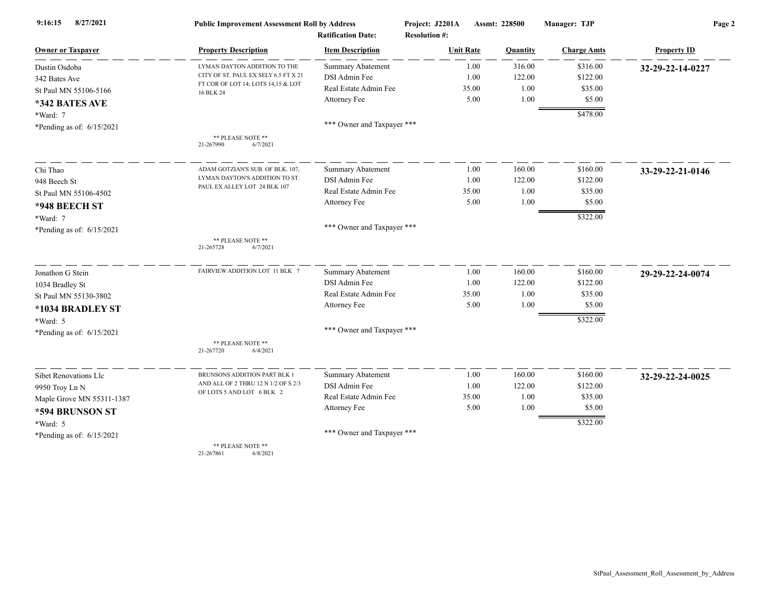| 8/27/2021<br>9:16:15        | <b>Public Improvement Assessment Roll by Address</b>                       |                            | Project: J2201A      |       | Assmt: 228500 | Manager: TJP       | Page 2             |  |
|-----------------------------|----------------------------------------------------------------------------|----------------------------|----------------------|-------|---------------|--------------------|--------------------|--|
|                             |                                                                            | <b>Ratification Date:</b>  | <b>Resolution #:</b> |       |               |                    |                    |  |
| <b>Owner or Taxpayer</b>    | <b>Property Description</b>                                                | <b>Item Description</b>    | <b>Unit Rate</b>     |       | Quantity      | <b>Charge Amts</b> | <b>Property ID</b> |  |
| Dustin Osdoba               | LYMAN DAYTON ADDITION TO THE                                               | <b>Summary Abatement</b>   |                      | 1.00  | 316.00        | \$316.00           | 32-29-22-14-0227   |  |
| 342 Bates Ave               | CITY OF ST. PAUL EX SELY 6.5 FT X 21<br>FT COR OF LOT 14; LOTS 14,15 & LOT | DSI Admin Fee              |                      | 1.00  | 122.00        | \$122.00           |                    |  |
| St Paul MN 55106-5166       | 16 BLK 24                                                                  | Real Estate Admin Fee      |                      | 35.00 | 1.00          | \$35.00            |                    |  |
| *342 BATES AVE              |                                                                            | Attorney Fee               |                      | 5.00  | 1.00          | \$5.00             |                    |  |
| *Ward: 7                    |                                                                            |                            |                      |       |               | \$478.00           |                    |  |
| *Pending as of: $6/15/2021$ |                                                                            | *** Owner and Taxpayer *** |                      |       |               |                    |                    |  |
|                             | ** PLEASE NOTE **<br>21-267990<br>6/7/2021                                 |                            |                      |       |               |                    |                    |  |
| Chi Thao                    | ADAM GOTZIAN'S SUB. OF BLK. 107,                                           | <b>Summary Abatement</b>   |                      | 1.00  | 160.00        | \$160.00           | 33-29-22-21-0146   |  |
| 948 Beech St                | LYMAN DAYTON'S ADDITION TO ST.                                             | DSI Admin Fee              |                      | 1.00  | 122.00        | \$122.00           |                    |  |
| St Paul MN 55106-4502       | PAUL EX ALLEY LOT 24 BLK 107                                               | Real Estate Admin Fee      |                      | 35.00 | 1.00          | \$35.00            |                    |  |
| *948 BEECH ST               |                                                                            | Attorney Fee               |                      | 5.00  | 1.00          | \$5.00             |                    |  |
| *Ward: 7                    |                                                                            |                            |                      |       |               | \$322.00           |                    |  |
| *Pending as of: $6/15/2021$ |                                                                            | *** Owner and Taxpayer *** |                      |       |               |                    |                    |  |
|                             | ** PLEASE NOTE **<br>21-265728<br>6/7/2021                                 |                            |                      |       |               |                    |                    |  |
| Jonathon G Stein            | FAIRVIEW ADDITION LOT 11 BLK 7                                             | Summary Abatement          |                      | 1.00  | 160.00        | \$160.00           | 29-29-22-24-0074   |  |
| 1034 Bradley St             |                                                                            | DSI Admin Fee              |                      | 1.00  | 122.00        | \$122.00           |                    |  |
| St Paul MN 55130-3802       |                                                                            | Real Estate Admin Fee      |                      | 35.00 | 1.00          | \$35.00            |                    |  |
| *1034 BRADLEY ST            |                                                                            | Attorney Fee               |                      | 5.00  | 1.00          | \$5.00             |                    |  |
| *Ward: 5                    |                                                                            |                            |                      |       |               | \$322.00           |                    |  |
| *Pending as of: $6/15/2021$ |                                                                            | *** Owner and Taxpayer *** |                      |       |               |                    |                    |  |
|                             | ** PLEASE NOTE **<br>21-267720<br>6/4/2021                                 |                            |                      |       |               |                    |                    |  |
| Sibet Renovations Llc       | BRUNSONS ADDITION PART BLK 1                                               | Summary Abatement          |                      | 1.00  | 160.00        | \$160.00           | 32-29-22-24-0025   |  |
| 9950 Troy Ln N              | AND ALL OF 2 THRU 12 N 1/2 OF S 2/3                                        | DSI Admin Fee              |                      | 1.00  | 122.00        | \$122.00           |                    |  |
| Maple Grove MN 55311-1387   | OF LOTS 5 AND LOT 6 BLK 2                                                  | Real Estate Admin Fee      |                      | 35.00 | 1.00          | \$35.00            |                    |  |
| *594 BRUNSON ST             |                                                                            | Attorney Fee               |                      | 5.00  | 1.00          | \$5.00             |                    |  |
| *Ward: 5                    |                                                                            |                            |                      |       |               | \$322.00           |                    |  |
| *Pending as of: $6/15/2021$ |                                                                            | *** Owner and Taxpayer *** |                      |       |               |                    |                    |  |
|                             | ** PLEASE NOTE **                                                          |                            |                      |       |               |                    |                    |  |

21-267861 6/8/2021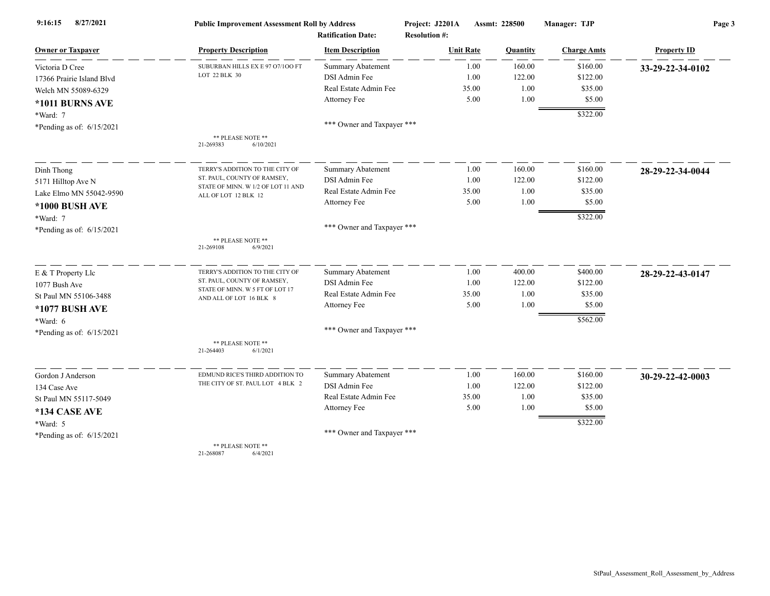| 8/27/2021<br>9:16:15        | <b>Public Improvement Assessment Roll by Address</b>           |                            | Project: J2201A      | Assmt: 228500   | Manager: TJP       | Page 3             |  |
|-----------------------------|----------------------------------------------------------------|----------------------------|----------------------|-----------------|--------------------|--------------------|--|
|                             |                                                                | <b>Ratification Date:</b>  | <b>Resolution #:</b> |                 |                    |                    |  |
| <b>Owner or Taxpayer</b>    | <b>Property Description</b>                                    | <b>Item Description</b>    | <b>Unit Rate</b>     | <b>Quantity</b> | <b>Charge Amts</b> | <b>Property ID</b> |  |
| Victoria D Cree             | SUBURBAN HILLS EX E 97 07/100 FT                               | Summary Abatement          | 1.00                 | 160.00          | \$160.00           | 33-29-22-34-0102   |  |
| 17366 Prairie Island Blvd   | LOT 22 BLK 30                                                  | DSI Admin Fee              | 1.00                 | 122.00          | \$122.00           |                    |  |
| Welch MN 55089-6329         |                                                                | Real Estate Admin Fee      | 35.00                | 1.00            | \$35.00            |                    |  |
| *1011 BURNS AVE             |                                                                | Attorney Fee               | 5.00                 | 1.00            | \$5.00             |                    |  |
| *Ward: 7                    |                                                                |                            |                      |                 | \$322.00           |                    |  |
| *Pending as of: $6/15/2021$ |                                                                | *** Owner and Taxpayer *** |                      |                 |                    |                    |  |
|                             | ** PLEASE NOTE **<br>21-269383<br>6/10/2021                    |                            |                      |                 |                    |                    |  |
| Dinh Thong                  | TERRY'S ADDITION TO THE CITY OF                                | <b>Summary Abatement</b>   | 1.00                 | 160.00          | \$160.00           | 28-29-22-34-0044   |  |
| 5171 Hilltop Ave N          | ST. PAUL, COUNTY OF RAMSEY,                                    | DSI Admin Fee              | 1.00                 | 122.00          | \$122.00           |                    |  |
| Lake Elmo MN 55042-9590     | STATE OF MINN. W 1/2 OF LOT 11 AND<br>ALL OF LOT 12 BLK 12     | Real Estate Admin Fee      | 35.00                | 1.00            | \$35.00            |                    |  |
| *1000 BUSH AVE              |                                                                | Attorney Fee               | 5.00                 | 1.00            | \$5.00             |                    |  |
| *Ward: 7                    |                                                                |                            |                      |                 | \$322.00           |                    |  |
| *Pending as of: $6/15/2021$ |                                                                | *** Owner and Taxpayer *** |                      |                 |                    |                    |  |
|                             | ** PLEASE NOTE **<br>21-269108<br>6/9/2021                     |                            |                      |                 |                    |                    |  |
| E & T Property Llc          | TERRY'S ADDITION TO THE CITY OF                                | Summary Abatement          | 1.00                 | 400.00          | \$400.00           | 28-29-22-43-0147   |  |
| 1077 Bush Ave               | ST. PAUL, COUNTY OF RAMSEY,<br>STATE OF MINN. W 5 FT OF LOT 17 | DSI Admin Fee              | 1.00                 | 122.00          | \$122.00           |                    |  |
| St Paul MN 55106-3488       | AND ALL OF LOT 16 BLK 8                                        | Real Estate Admin Fee      | 35.00                | 1.00            | \$35.00            |                    |  |
| *1077 BUSH AVE              |                                                                | Attorney Fee               | 5.00                 | 1.00            | \$5.00             |                    |  |
| *Ward: 6                    |                                                                |                            |                      |                 | \$562.00           |                    |  |
| *Pending as of: $6/15/2021$ |                                                                | *** Owner and Taxpayer *** |                      |                 |                    |                    |  |
|                             | ** PLEASE NOTE **<br>21-264403<br>6/1/2021                     |                            |                      |                 |                    |                    |  |
| Gordon J Anderson           | EDMUND RICE'S THIRD ADDITION TO                                | Summary Abatement          | 1.00                 | 160.00          | \$160.00           | 30-29-22-42-0003   |  |
| 134 Case Ave                | THE CITY OF ST. PAUL LOT 4 BLK 2                               | DSI Admin Fee              | 1.00                 | 122.00          | \$122.00           |                    |  |
| St Paul MN 55117-5049       |                                                                | Real Estate Admin Fee      | 35.00                | 1.00            | \$35.00            |                    |  |
| *134 CASE AVE               |                                                                | Attorney Fee               | 5.00                 | 1.00            | \$5.00             |                    |  |
| *Ward: 5                    |                                                                |                            |                      |                 | \$322.00           |                    |  |
| *Pending as of: $6/15/2021$ |                                                                | *** Owner and Taxpayer *** |                      |                 |                    |                    |  |
|                             | ** PLEASE NOTE **<br>26007                                     |                            |                      |                 |                    |                    |  |

21-268087 6/4/2021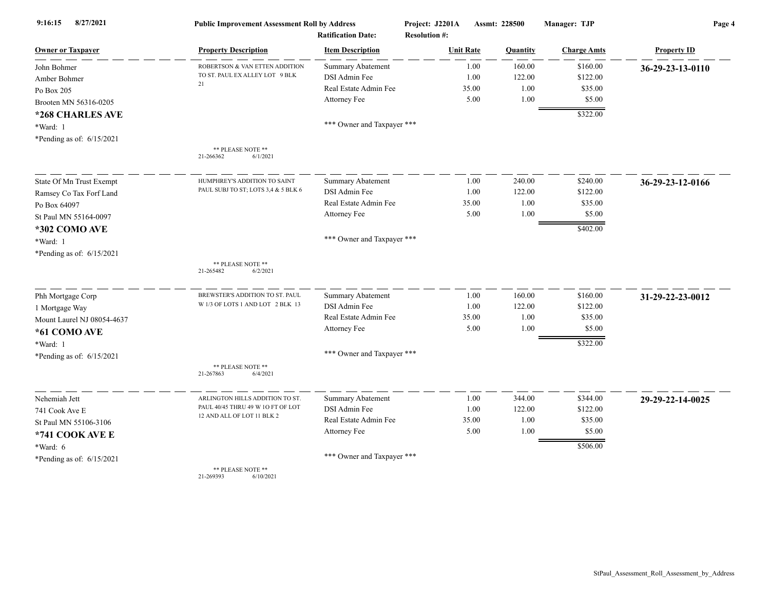| 8/27/2021<br>9:16:15        | <b>Public Improvement Assessment Roll by Address</b> |                            | Project: J2201A      | Assmt: 228500 |          | Manager: TJP       | Page 4             |  |
|-----------------------------|------------------------------------------------------|----------------------------|----------------------|---------------|----------|--------------------|--------------------|--|
|                             |                                                      | <b>Ratification Date:</b>  | <b>Resolution #:</b> |               |          |                    |                    |  |
| <b>Owner or Taxpayer</b>    | <b>Property Description</b>                          | <b>Item Description</b>    | <b>Unit Rate</b>     |               | Quantity | <b>Charge Amts</b> | <b>Property ID</b> |  |
| John Bohmer                 | ROBERTSON & VAN ETTEN ADDITION                       | <b>Summary Abatement</b>   |                      | 1.00          | 160.00   | \$160.00           | 36-29-23-13-0110   |  |
| Amber Bohmer                | TO ST. PAUL EX ALLEY LOT 9 BLK<br>21                 | DSI Admin Fee              |                      | 1.00          | 122.00   | \$122.00           |                    |  |
| Po Box 205                  |                                                      | Real Estate Admin Fee      |                      | 35.00         | 1.00     | \$35.00            |                    |  |
| Brooten MN 56316-0205       |                                                      | Attorney Fee               |                      | 5.00          | 1.00     | \$5.00             |                    |  |
| *268 CHARLES AVE            |                                                      |                            |                      |               |          | \$322.00           |                    |  |
| *Ward: 1                    |                                                      | *** Owner and Taxpayer *** |                      |               |          |                    |                    |  |
| *Pending as of: $6/15/2021$ |                                                      |                            |                      |               |          |                    |                    |  |
|                             | ** PLEASE NOTE **<br>21-266362<br>6/1/2021           |                            |                      |               |          |                    |                    |  |
| State Of Mn Trust Exempt    | HUMPHREY'S ADDITION TO SAINT                         | <b>Summary Abatement</b>   |                      | 1.00          | 240.00   | \$240.00           | 36-29-23-12-0166   |  |
| Ramsey Co Tax Forf Land     | PAUL SUBJ TO ST; LOTS 3,4 & 5 BLK 6                  | DSI Admin Fee              |                      | 1.00          | 122.00   | \$122.00           |                    |  |
| Po Box 64097                |                                                      | Real Estate Admin Fee      |                      | 35.00         | 1.00     | \$35.00            |                    |  |
| St Paul MN 55164-0097       |                                                      | Attorney Fee               |                      | 5.00          | 1.00     | \$5.00             |                    |  |
| *302 COMO AVE               |                                                      |                            |                      |               |          | \$402.00           |                    |  |
| *Ward: 1                    |                                                      | *** Owner and Taxpayer *** |                      |               |          |                    |                    |  |
| *Pending as of: 6/15/2021   |                                                      |                            |                      |               |          |                    |                    |  |
|                             | ** PLEASE NOTE **                                    |                            |                      |               |          |                    |                    |  |
|                             | 21-265482<br>6/2/2021                                |                            |                      |               |          |                    |                    |  |
| Phh Mortgage Corp           | BREWSTER'S ADDITION TO ST. PAUL                      | Summary Abatement          |                      | 1.00          | 160.00   | \$160.00           | 31-29-22-23-0012   |  |
| 1 Mortgage Way              | W 1/3 OF LOTS 1 AND LOT 2 BLK 13                     | DSI Admin Fee              |                      | 1.00          | 122.00   | \$122.00           |                    |  |
| Mount Laurel NJ 08054-4637  |                                                      | Real Estate Admin Fee      |                      | 35.00         | 1.00     | \$35.00            |                    |  |
| *61 COMO AVE                |                                                      | Attorney Fee               |                      | 5.00          | 1.00     | \$5.00             |                    |  |
| *Ward: 1                    |                                                      |                            |                      |               |          | \$322.00           |                    |  |
| *Pending as of: $6/15/2021$ |                                                      | *** Owner and Taxpayer *** |                      |               |          |                    |                    |  |
|                             | ** PLEASE NOTE **<br>21-267863<br>6/4/2021           |                            |                      |               |          |                    |                    |  |
| Nehemiah Jett               | ARLINGTON HILLS ADDITION TO ST.                      | Summary Abatement          |                      | 1.00          | 344.00   | \$344.00           | 29-29-22-14-0025   |  |
| 741 Cook Ave E              | PAUL 40/45 THRU 49 W 1O FT OF LOT                    | DSI Admin Fee              |                      | 1.00          | 122.00   | \$122.00           |                    |  |
| St Paul MN 55106-3106       | 12 AND ALL OF LOT 11 BLK 2                           | Real Estate Admin Fee      |                      | 35.00         | 1.00     | \$35.00            |                    |  |
| *741 COOK AVE E             |                                                      | Attorney Fee               |                      | 5.00          | 1.00     | \$5.00             |                    |  |
| *Ward: 6                    |                                                      |                            |                      |               |          | \$506.00           |                    |  |
| *Pending as of: $6/15/2021$ |                                                      | *** Owner and Taxpayer *** |                      |               |          |                    |                    |  |
|                             | ** PLEASE NOTE **                                    |                            |                      |               |          |                    |                    |  |

21-269393 6/10/2021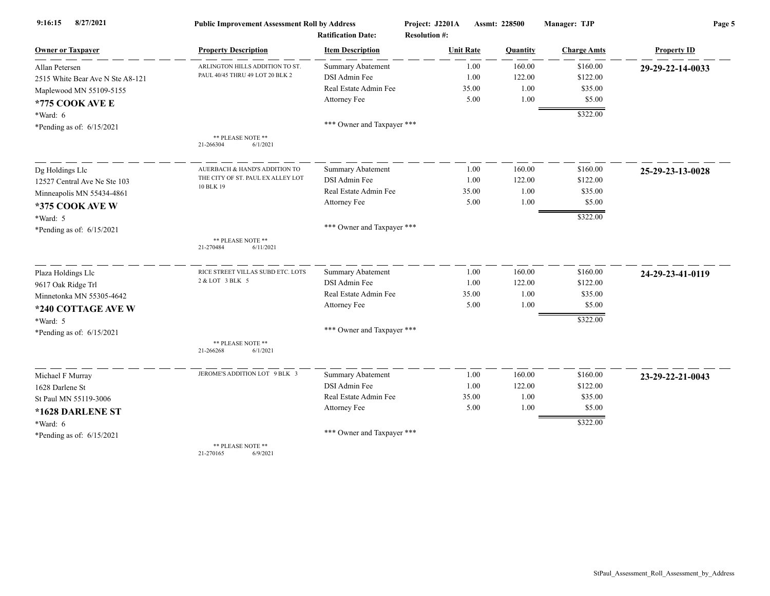| 8/27/2021<br>9:16:15             | <b>Public Improvement Assessment Roll by Address</b>               |                                                      | Project: J2201A                          | <b>Assmt: 228500</b> | Manager: TJP         | Page 5             |  |
|----------------------------------|--------------------------------------------------------------------|------------------------------------------------------|------------------------------------------|----------------------|----------------------|--------------------|--|
| <b>Owner or Taxpayer</b>         | <b>Property Description</b>                                        | <b>Ratification Date:</b><br><b>Item Description</b> | <b>Resolution #:</b><br><b>Unit Rate</b> | Quantity             | <b>Charge Amts</b>   | <b>Property ID</b> |  |
|                                  |                                                                    |                                                      |                                          |                      |                      |                    |  |
| Allan Petersen                   | ARLINGTON HILLS ADDITION TO ST.<br>PAUL 40/45 THRU 49 LOT 20 BLK 2 | Summary Abatement<br>DSI Admin Fee                   | 1.00<br>1.00                             | 160.00<br>122.00     | \$160.00<br>\$122.00 | 29-29-22-14-0033   |  |
| 2515 White Bear Ave N Ste A8-121 |                                                                    | Real Estate Admin Fee                                | 35.00                                    | 1.00                 | \$35.00              |                    |  |
| Maplewood MN 55109-5155          |                                                                    | Attorney Fee                                         | 5.00                                     | 1.00                 | \$5.00               |                    |  |
| *775 COOK AVE E                  |                                                                    |                                                      |                                          |                      |                      |                    |  |
| $*Ward: 6$                       |                                                                    |                                                      |                                          |                      | \$322.00             |                    |  |
| *Pending as of: $6/15/2021$      |                                                                    | *** Owner and Taxpayer ***                           |                                          |                      |                      |                    |  |
|                                  | ** PLEASE NOTE **<br>6/1/2021<br>21-266304                         |                                                      |                                          |                      |                      |                    |  |
| Dg Holdings Llc                  | AUERBACH & HAND'S ADDITION TO                                      | <b>Summary Abatement</b>                             | 1.00                                     | 160.00               | \$160.00             | 25-29-23-13-0028   |  |
| 12527 Central Ave Ne Ste 103     | THE CITY OF ST. PAUL EX ALLEY LOT                                  | DSI Admin Fee                                        | 1.00                                     | 122.00               | \$122.00             |                    |  |
| Minneapolis MN 55434-4861        | 10 BLK 19                                                          | Real Estate Admin Fee                                | 35.00                                    | 1.00                 | \$35.00              |                    |  |
| *375 COOK AVE W                  |                                                                    | Attorney Fee                                         | 5.00                                     | 1.00                 | \$5.00               |                    |  |
| *Ward: 5                         |                                                                    |                                                      |                                          |                      | \$322.00             |                    |  |
| *Pending as of: $6/15/2021$      |                                                                    | *** Owner and Taxpayer ***                           |                                          |                      |                      |                    |  |
|                                  | ** PLEASE NOTE **<br>21-270484<br>6/11/2021                        |                                                      |                                          |                      |                      |                    |  |
| Plaza Holdings Llc               | RICE STREET VILLAS SUBD ETC. LOTS                                  | <b>Summary Abatement</b>                             | 1.00                                     | 160.00               | \$160.00             | 24-29-23-41-0119   |  |
| 9617 Oak Ridge Trl               | 2 & LOT 3 BLK 5                                                    | DSI Admin Fee                                        | 1.00                                     | 122.00               | \$122.00             |                    |  |
| Minnetonka MN 55305-4642         |                                                                    | Real Estate Admin Fee                                | 35.00                                    | 1.00                 | \$35.00              |                    |  |
| *240 COTTAGE AVE W               |                                                                    | Attorney Fee                                         | 5.00                                     | 1.00                 | \$5.00               |                    |  |
| *Ward: 5                         |                                                                    |                                                      |                                          |                      | \$322.00             |                    |  |
| *Pending as of: $6/15/2021$      |                                                                    | *** Owner and Taxpayer ***                           |                                          |                      |                      |                    |  |
|                                  | ** PLEASE NOTE **<br>6/1/2021<br>21-266268                         |                                                      |                                          |                      |                      |                    |  |
| Michael F Murray                 | JEROME'S ADDITION LOT 9 BLK 3                                      | Summary Abatement                                    | 1.00                                     | 160.00               | \$160.00             | 23-29-22-21-0043   |  |
| 1628 Darlene St                  |                                                                    | DSI Admin Fee                                        | 1.00                                     | 122.00               | \$122.00             |                    |  |
| St Paul MN 55119-3006            |                                                                    | Real Estate Admin Fee                                | 35.00                                    | 1.00                 | \$35.00              |                    |  |
| *1628 DARLENE ST                 |                                                                    | Attorney Fee                                         | 5.00                                     | 1.00                 | \$5.00               |                    |  |
| $*Ward: 6$                       |                                                                    |                                                      |                                          |                      | \$322.00             |                    |  |
| *Pending as of: $6/15/2021$      |                                                                    | *** Owner and Taxpayer ***                           |                                          |                      |                      |                    |  |
|                                  | ** PLEASE NOTE **                                                  |                                                      |                                          |                      |                      |                    |  |

21-270165 6/9/2021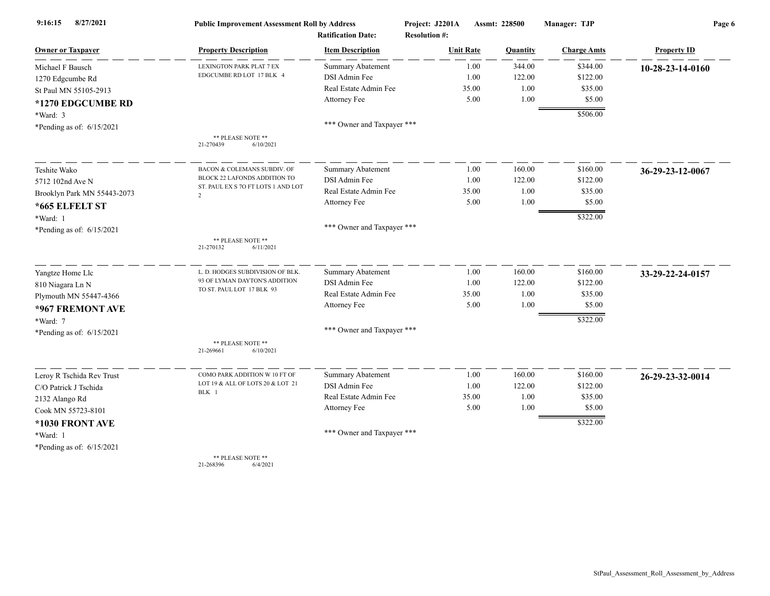| 8/27/2021<br>9:16:15        | <b>Public Improvement Assessment Roll by Address</b> |                                                      | Project: J2201A                          | Assmt: 228500 | Manager: TJP       | Page 6             |  |
|-----------------------------|------------------------------------------------------|------------------------------------------------------|------------------------------------------|---------------|--------------------|--------------------|--|
| <b>Owner or Taxpayer</b>    | <b>Property Description</b>                          | <b>Ratification Date:</b><br><b>Item Description</b> | <b>Resolution #:</b><br><b>Unit Rate</b> | Quantity      | <b>Charge Amts</b> | <b>Property ID</b> |  |
| Michael F Bausch            | LEXINGTON PARK PLAT 7 EX                             | <b>Summary Abatement</b>                             | 1.00                                     | 344.00        | \$344.00           | 10-28-23-14-0160   |  |
| 1270 Edgcumbe Rd            | EDGCUMBE RD LOT 17 BLK 4                             | DSI Admin Fee                                        | 1.00                                     | 122.00        | \$122.00           |                    |  |
| St Paul MN 55105-2913       |                                                      | Real Estate Admin Fee                                | 35.00                                    | 1.00          | \$35.00            |                    |  |
| *1270 EDGCUMBE RD           |                                                      | Attorney Fee                                         | 5.00                                     | 1.00          | \$5.00             |                    |  |
| $*Ward: 3$                  |                                                      |                                                      |                                          |               | \$506.00           |                    |  |
| *Pending as of: 6/15/2021   |                                                      | *** Owner and Taxpayer ***                           |                                          |               |                    |                    |  |
|                             | ** PLEASE NOTE **<br>21-270439<br>6/10/2021          |                                                      |                                          |               |                    |                    |  |
| Teshite Wako                | BACON & COLEMANS SUBDIV. OF                          | Summary Abatement                                    | 1.00                                     | 160.00        | \$160.00           | 36-29-23-12-0067   |  |
| 5712 102nd Ave N            | BLOCK 22 LAFONDS ADDITION TO                         | DSI Admin Fee                                        | 1.00                                     | 122.00        | \$122.00           |                    |  |
| Brooklyn Park MN 55443-2073 | ST. PAUL EX S 70 FT LOTS 1 AND LOT<br>$\overline{2}$ | Real Estate Admin Fee                                | 35.00                                    | 1.00          | \$35.00            |                    |  |
| *665 ELFELT ST              |                                                      | Attorney Fee                                         | 5.00                                     | 1.00          | \$5.00             |                    |  |
| *Ward: 1                    |                                                      |                                                      |                                          |               | \$322.00           |                    |  |
| *Pending as of: 6/15/2021   |                                                      | *** Owner and Taxpayer ***                           |                                          |               |                    |                    |  |
|                             | ** PLEASE NOTE **<br>6/11/2021<br>21-270132          |                                                      |                                          |               |                    |                    |  |
| Yangtze Home Llc            | L. D. HODGES SUBDIVISION OF BLK.                     | <b>Summary Abatement</b>                             | 1.00                                     | 160.00        | \$160.00           | 33-29-22-24-0157   |  |
| 810 Niagara Ln N            | 93 OF LYMAN DAYTON'S ADDITION                        | DSI Admin Fee                                        | 1.00                                     | 122.00        | \$122.00           |                    |  |
| Plymouth MN 55447-4366      | TO ST. PAUL LOT 17 BLK 93                            | Real Estate Admin Fee                                | 35.00                                    | 1.00          | \$35.00            |                    |  |
| *967 FREMONT AVE            |                                                      | Attorney Fee                                         | 5.00                                     | 1.00          | \$5.00             |                    |  |
| *Ward: 7                    |                                                      |                                                      |                                          |               | \$322.00           |                    |  |
| *Pending as of: $6/15/2021$ |                                                      | *** Owner and Taxpayer ***                           |                                          |               |                    |                    |  |
|                             | ** PLEASE NOTE **<br>21-269661<br>6/10/2021          |                                                      |                                          |               |                    |                    |  |
| Leroy R Tschida Rev Trust   | COMO PARK ADDITION W 10 FT OF                        | <b>Summary Abatement</b>                             | 1.00                                     | 160.00        | \$160.00           | 26-29-23-32-0014   |  |
| C/O Patrick J Tschida       | LOT 19 & ALL OF LOTS 20 & LOT 21                     | DSI Admin Fee                                        | 1.00                                     | 122.00        | \$122.00           |                    |  |
| 2132 Alango Rd              | BLK 1                                                | Real Estate Admin Fee                                | 35.00                                    | 1.00          | \$35.00            |                    |  |
| Cook MN 55723-8101          |                                                      | <b>Attorney Fee</b>                                  | 5.00                                     | 1.00          | \$5.00             |                    |  |
| *1030 FRONT AVE             |                                                      |                                                      |                                          |               | \$322.00           |                    |  |
| *Ward: 1                    |                                                      | *** Owner and Taxpayer ***                           |                                          |               |                    |                    |  |
| *Pending as of: $6/15/2021$ |                                                      |                                                      |                                          |               |                    |                    |  |
|                             | ** PLEASE NOTE **                                    |                                                      |                                          |               |                    |                    |  |

21-268396 6/4/2021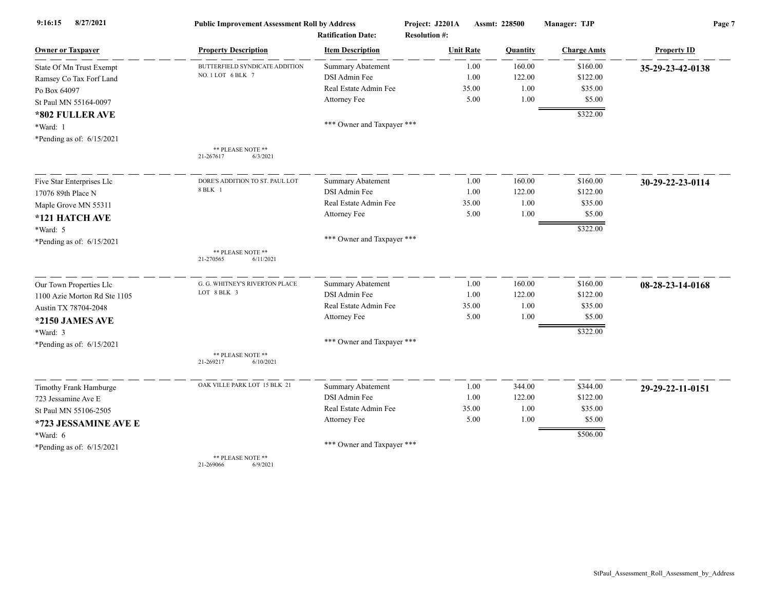| 8/27/2021<br>9:16:15         | <b>Public Improvement Assessment Roll by Address</b> |                                                      | Project: J2201A                          | Assmt: 228500 | Manager: TJP       | Page 7             |  |
|------------------------------|------------------------------------------------------|------------------------------------------------------|------------------------------------------|---------------|--------------------|--------------------|--|
| <b>Owner or Taxpayer</b>     | <b>Property Description</b>                          | <b>Ratification Date:</b><br><b>Item Description</b> | <b>Resolution #:</b><br><b>Unit Rate</b> |               |                    | <b>Property ID</b> |  |
|                              |                                                      |                                                      |                                          | Quantity      | <b>Charge Amts</b> |                    |  |
| State Of Mn Trust Exempt     | BUTTERFIELD SYNDICATE ADDITION<br>NO. 1 LOT 6 BLK 7  | <b>Summary Abatement</b>                             | 1.00                                     | 160.00        | \$160.00           | 35-29-23-42-0138   |  |
| Ramsey Co Tax Forf Land      |                                                      | DSI Admin Fee                                        | 1.00                                     | 122.00        | \$122.00           |                    |  |
| Po Box 64097                 |                                                      | Real Estate Admin Fee                                | 35.00                                    | 1.00          | \$35.00            |                    |  |
| St Paul MN 55164-0097        |                                                      | Attorney Fee                                         | 5.00                                     | 1.00          | \$5.00             |                    |  |
| *802 FULLER AVE              |                                                      |                                                      |                                          |               | \$322.00           |                    |  |
| *Ward: 1                     |                                                      | *** Owner and Taxpayer ***                           |                                          |               |                    |                    |  |
| *Pending as of: 6/15/2021    |                                                      |                                                      |                                          |               |                    |                    |  |
|                              | ** PLEASE NOTE **<br>21-267617<br>6/3/2021           |                                                      |                                          |               |                    |                    |  |
| Five Star Enterprises Llc    | DORE'S ADDITION TO ST. PAUL LOT                      | <b>Summary Abatement</b>                             | 1.00                                     | 160.00        | \$160.00           | 30-29-22-23-0114   |  |
| 17076 89th Place N           | 8 BLK 1                                              | DSI Admin Fee                                        | 1.00                                     | 122.00        | \$122.00           |                    |  |
| Maple Grove MN 55311         |                                                      | Real Estate Admin Fee                                | 35.00                                    | 1.00          | \$35.00            |                    |  |
| *121 HATCH AVE               |                                                      | Attorney Fee                                         | 5.00                                     | 1.00          | \$5.00             |                    |  |
| *Ward: 5                     |                                                      |                                                      |                                          |               | \$322.00           |                    |  |
| *Pending as of: 6/15/2021    |                                                      | *** Owner and Taxpayer ***                           |                                          |               |                    |                    |  |
|                              | ** PLEASE NOTE **<br>21-270565<br>6/11/2021          |                                                      |                                          |               |                    |                    |  |
|                              | G. G. WHITNEY'S RIVERTON PLACE                       | <b>Summary Abatement</b>                             | 1.00                                     | 160.00        | \$160.00           |                    |  |
| Our Town Properties Llc      | LOT 8 BLK 3                                          | DSI Admin Fee                                        | 1.00                                     | 122.00        | \$122.00           | 08-28-23-14-0168   |  |
| 1100 Azie Morton Rd Ste 1105 |                                                      | Real Estate Admin Fee                                | 35.00                                    | 1.00          | \$35.00            |                    |  |
| Austin TX 78704-2048         |                                                      | Attorney Fee                                         | 5.00                                     | 1.00          | \$5.00             |                    |  |
| *2150 JAMES AVE              |                                                      |                                                      |                                          |               |                    |                    |  |
| *Ward: 3                     |                                                      |                                                      |                                          |               | \$322.00           |                    |  |
| *Pending as of: 6/15/2021    |                                                      | *** Owner and Taxpayer ***                           |                                          |               |                    |                    |  |
|                              | ** PLEASE NOTE **<br>21-269217<br>6/10/2021          |                                                      |                                          |               |                    |                    |  |
| Timothy Frank Hamburge       | OAK VILLE PARK LOT 15 BLK 21                         | Summary Abatement                                    | 1.00                                     | 344.00        | \$344.00           | 29-29-22-11-0151   |  |
| 723 Jessamine Ave E          |                                                      | DSI Admin Fee                                        | 1.00                                     | 122.00        | \$122.00           |                    |  |
| St Paul MN 55106-2505        |                                                      | Real Estate Admin Fee                                | 35.00                                    | 1.00          | \$35.00            |                    |  |
| *723 JESSAMINE AVE E         |                                                      | Attorney Fee                                         | 5.00                                     | 1.00          | \$5.00             |                    |  |
| *Ward: 6                     |                                                      |                                                      |                                          |               | \$506.00           |                    |  |
| *Pending as of: 6/15/2021    |                                                      | *** Owner and Taxpayer ***                           |                                          |               |                    |                    |  |
|                              | ** PLEASE NOTE **<br>21-269066<br>6/9/2021           |                                                      |                                          |               |                    |                    |  |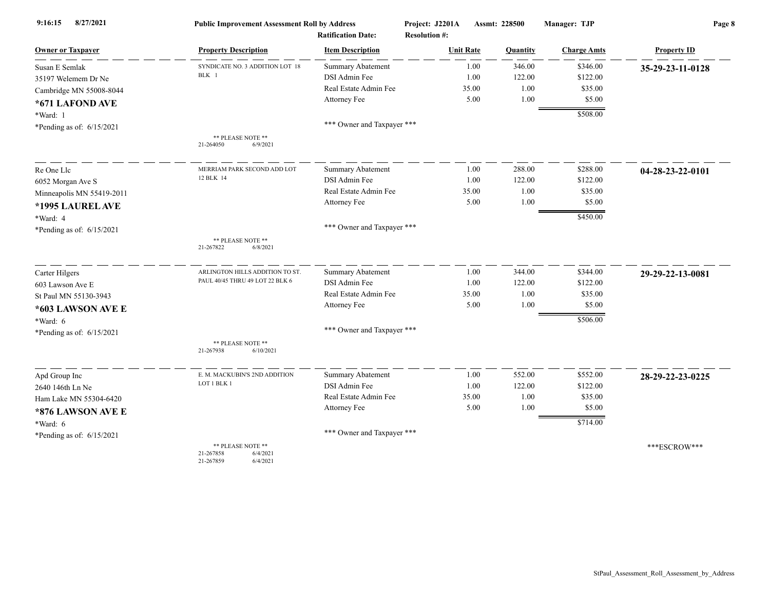| 8/27/2021<br>9:16:15        | <b>Public Improvement Assessment Roll by Address</b>                |                            | Project: J2201A      | <b>Assmt: 228500</b> | Manager: TJP       | Page 8             |  |
|-----------------------------|---------------------------------------------------------------------|----------------------------|----------------------|----------------------|--------------------|--------------------|--|
|                             |                                                                     | <b>Ratification Date:</b>  | <b>Resolution #:</b> |                      |                    |                    |  |
| <b>Owner or Taxpayer</b>    | <b>Property Description</b>                                         | <b>Item Description</b>    | <b>Unit Rate</b>     | Quantity             | <b>Charge Amts</b> | <b>Property ID</b> |  |
| Susan E Semlak              | SYNDICATE NO. 3 ADDITION LOT 18                                     | <b>Summary Abatement</b>   | 1.00                 | 346.00               | \$346.00           | 35-29-23-11-0128   |  |
| 35197 Welemem Dr Ne         | BLK 1                                                               | DSI Admin Fee              | 1.00                 | 122.00               | \$122.00           |                    |  |
| Cambridge MN 55008-8044     |                                                                     | Real Estate Admin Fee      | 35.00                | 1.00                 | \$35.00            |                    |  |
| *671 LAFOND AVE             |                                                                     | Attorney Fee               | 5.00                 | 1.00                 | \$5.00             |                    |  |
| *Ward: 1                    |                                                                     |                            |                      |                      | \$508.00           |                    |  |
| *Pending as of: $6/15/2021$ |                                                                     | *** Owner and Taxpayer *** |                      |                      |                    |                    |  |
|                             | ** PLEASE NOTE **<br>21-264050<br>6/9/2021                          |                            |                      |                      |                    |                    |  |
| Re One Llc                  | MERRIAM PARK SECOND ADD LOT                                         | <b>Summary Abatement</b>   | 1.00                 | 288.00               | \$288.00           | 04-28-23-22-0101   |  |
| 6052 Morgan Ave S           | 12 BLK 14                                                           | DSI Admin Fee              | 1.00                 | 122.00               | \$122.00           |                    |  |
| Minneapolis MN 55419-2011   |                                                                     | Real Estate Admin Fee      | 35.00                | 1.00                 | \$35.00            |                    |  |
| *1995 LAUREL AVE            |                                                                     | Attorney Fee               | 5.00                 | 1.00                 | \$5.00             |                    |  |
| *Ward: 4                    |                                                                     |                            |                      |                      | \$450.00           |                    |  |
| *Pending as of: $6/15/2021$ |                                                                     | *** Owner and Taxpayer *** |                      |                      |                    |                    |  |
|                             | ** PLEASE NOTE **<br>21-267822<br>6/8/2021                          |                            |                      |                      |                    |                    |  |
| Carter Hilgers              | ARLINGTON HILLS ADDITION TO ST.                                     | <b>Summary Abatement</b>   | 1.00                 | 344.00               | \$344.00           | 29-29-22-13-0081   |  |
| 603 Lawson Ave E            | PAUL 40/45 THRU 49 LOT 22 BLK 6                                     | <b>DSI</b> Admin Fee       | 1.00                 | 122.00               | \$122.00           |                    |  |
| St Paul MN 55130-3943       |                                                                     | Real Estate Admin Fee      | 35.00                | 1.00                 | \$35.00            |                    |  |
| *603 LAWSON AVE E           |                                                                     | Attorney Fee               | 5.00                 | 1.00                 | \$5.00             |                    |  |
| *Ward: 6                    |                                                                     |                            |                      |                      | \$506.00           |                    |  |
| *Pending as of: 6/15/2021   |                                                                     | *** Owner and Taxpayer *** |                      |                      |                    |                    |  |
|                             | ** PLEASE NOTE **<br>21-267938<br>6/10/2021                         |                            |                      |                      |                    |                    |  |
| Apd Group Inc               | E. M. MACKUBIN'S 2ND ADDITION                                       | Summary Abatement          | 1.00                 | 552.00               | \$552.00           | 28-29-22-23-0225   |  |
| 2640 146th Ln Ne            | LOT 1 BLK 1                                                         | DSI Admin Fee              | 1.00                 | 122.00               | \$122.00           |                    |  |
| Ham Lake MN 55304-6420      |                                                                     | Real Estate Admin Fee      | 35.00                | 1.00                 | \$35.00            |                    |  |
| *876 LAWSON AVE E           |                                                                     | Attorney Fee               | 5.00                 | 1.00                 | \$5.00             |                    |  |
| *Ward: 6                    |                                                                     |                            |                      |                      | \$714.00           |                    |  |
| *Pending as of: $6/15/2021$ |                                                                     | *** Owner and Taxpayer *** |                      |                      |                    |                    |  |
|                             | ** PLEASE NOTE **<br>21-267858<br>6/4/2021<br>21-267859<br>6/4/2021 |                            |                      |                      |                    | ***ESCROW***       |  |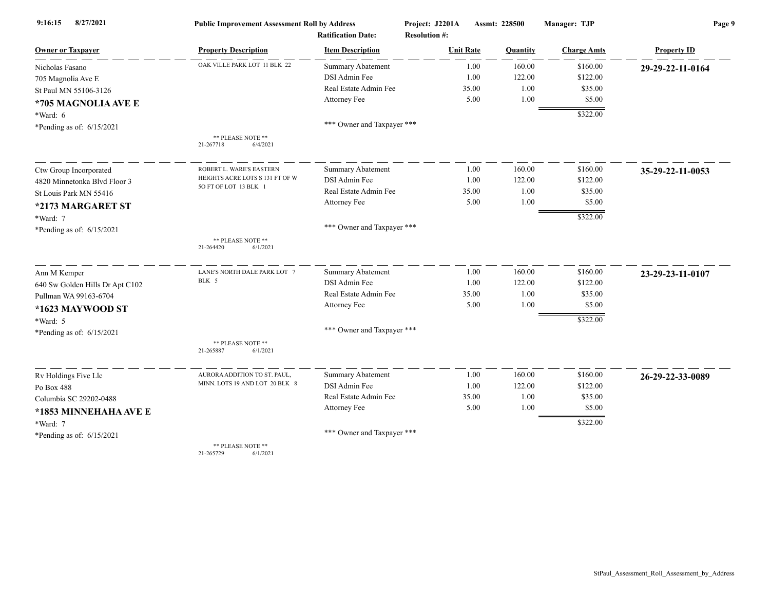| 8/27/2021<br>9:16:15            | <b>Public Improvement Assessment Roll by Address</b> |                            | Project: J2201A      | Assmt: 228500 |          | Manager: TJP       | Page 9             |  |
|---------------------------------|------------------------------------------------------|----------------------------|----------------------|---------------|----------|--------------------|--------------------|--|
|                                 |                                                      | <b>Ratification Date:</b>  | <b>Resolution #:</b> |               |          |                    |                    |  |
| <b>Owner or Taxpayer</b>        | <b>Property Description</b>                          | <b>Item Description</b>    | <b>Unit Rate</b>     |               | Quantity | <b>Charge Amts</b> | <b>Property ID</b> |  |
| Nicholas Fasano                 | OAK VILLE PARK LOT 11 BLK 22                         | <b>Summary Abatement</b>   |                      | 1.00          | 160.00   | \$160.00           | 29-29-22-11-0164   |  |
| 705 Magnolia Ave E              |                                                      | DSI Admin Fee              |                      | 1.00          | 122.00   | \$122.00           |                    |  |
| St Paul MN 55106-3126           |                                                      | Real Estate Admin Fee      |                      | 35.00         | 1.00     | \$35.00            |                    |  |
| *705 MAGNOLIA AVE E             |                                                      | Attorney Fee               |                      | 5.00          | 1.00     | \$5.00             |                    |  |
| *Ward: 6                        |                                                      |                            |                      |               |          | \$322.00           |                    |  |
| *Pending as of: $6/15/2021$     |                                                      | *** Owner and Taxpayer *** |                      |               |          |                    |                    |  |
|                                 | ** PLEASE NOTE **                                    |                            |                      |               |          |                    |                    |  |
|                                 | 6/4/2021<br>21-267718                                |                            |                      |               |          |                    |                    |  |
| Ctw Group Incorporated          | ROBERT L. WARE'S EASTERN                             | <b>Summary Abatement</b>   |                      | 1.00          | 160.00   | \$160.00           | 35-29-22-11-0053   |  |
| 4820 Minnetonka Blvd Floor 3    | HEIGHTS ACRE LOTS S 131 FT OF W                      | DSI Admin Fee              |                      | 1.00          | 122.00   | \$122.00           |                    |  |
| St Louis Park MN 55416          | 5O FT OF LOT 13 BLK 1                                | Real Estate Admin Fee      |                      | 35.00         | 1.00     | \$35.00            |                    |  |
| *2173 MARGARET ST               |                                                      | Attorney Fee               |                      | 5.00          | 1.00     | \$5.00             |                    |  |
| *Ward: 7                        |                                                      |                            |                      |               |          | \$322.00           |                    |  |
| *Pending as of: $6/15/2021$     |                                                      | *** Owner and Taxpayer *** |                      |               |          |                    |                    |  |
|                                 | ** PLEASE NOTE **<br>21-264420<br>6/1/2021           |                            |                      |               |          |                    |                    |  |
|                                 |                                                      |                            |                      |               |          |                    |                    |  |
| Ann M Kemper                    | LANE'S NORTH DALE PARK LOT 7                         | <b>Summary Abatement</b>   |                      | 1.00          | 160.00   | \$160.00           | 23-29-23-11-0107   |  |
| 640 Sw Golden Hills Dr Apt C102 | BLK 5                                                | DSI Admin Fee              |                      | 1.00          | 122.00   | \$122.00           |                    |  |
| Pullman WA 99163-6704           |                                                      | Real Estate Admin Fee      |                      | 35.00         | 1.00     | \$35.00            |                    |  |
| *1623 MAYWOOD ST                |                                                      | Attorney Fee               |                      | 5.00          | 1.00     | \$5.00             |                    |  |
| *Ward: 5                        |                                                      |                            |                      |               |          | \$322.00           |                    |  |
| *Pending as of: $6/15/2021$     |                                                      | *** Owner and Taxpayer *** |                      |               |          |                    |                    |  |
|                                 | ** PLEASE NOTE **<br>21-265887<br>6/1/2021           |                            |                      |               |          |                    |                    |  |
| Rv Holdings Five Llc            | AURORA ADDITION TO ST. PAUL,                         | Summary Abatement          |                      | 1.00          | 160.00   | \$160.00           | 26-29-22-33-0089   |  |
| Po Box 488                      | MINN. LOTS 19 AND LOT 20 BLK 8                       | DSI Admin Fee              |                      | 1.00          | 122.00   | \$122.00           |                    |  |
| Columbia SC 29202-0488          |                                                      | Real Estate Admin Fee      |                      | 35.00         | 1.00     | \$35.00            |                    |  |
| *1853 MINNEHAHA AVE E           |                                                      | Attorney Fee               |                      | 5.00          | 1.00     | \$5.00             |                    |  |
| *Ward: 7                        |                                                      |                            |                      |               |          | \$322.00           |                    |  |
| *Pending as of: $6/15/2021$     |                                                      | *** Owner and Taxpayer *** |                      |               |          |                    |                    |  |
|                                 | ** PLEASE NOTE **                                    |                            |                      |               |          |                    |                    |  |

21-265729 6/1/2021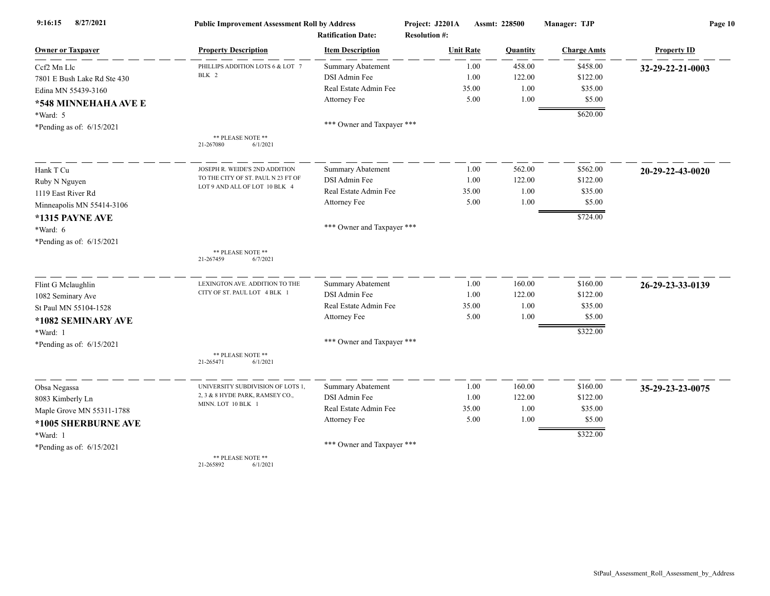| 8/27/2021<br>9:16:15        | <b>Public Improvement Assessment Roll by Address</b> |                                                      | Project: J2201A                          | Assmt: 228500 | Manager: TJP       | Page 10            |  |
|-----------------------------|------------------------------------------------------|------------------------------------------------------|------------------------------------------|---------------|--------------------|--------------------|--|
| <b>Owner or Taxpayer</b>    | <b>Property Description</b>                          | <b>Ratification Date:</b><br><b>Item Description</b> | <b>Resolution #:</b><br><b>Unit Rate</b> | Quantity      | <b>Charge Amts</b> | <b>Property ID</b> |  |
| Ccf2 Mn Llc                 | PHILLIPS ADDITION LOTS 6 & LOT 7                     | <b>Summary Abatement</b>                             | 1.00                                     | 458.00        | \$458.00           | 32-29-22-21-0003   |  |
| 7801 E Bush Lake Rd Ste 430 | BLK 2                                                | DSI Admin Fee                                        | 1.00                                     | 122.00        | \$122.00           |                    |  |
| Edina MN 55439-3160         |                                                      | Real Estate Admin Fee                                | 35.00                                    | 1.00          | \$35.00            |                    |  |
| *548 MINNEHAHA AVE E        |                                                      | Attorney Fee                                         | 5.00                                     | 1.00          | \$5.00             |                    |  |
| *Ward: 5                    |                                                      |                                                      |                                          |               | \$620.00           |                    |  |
| *Pending as of: $6/15/2021$ |                                                      | *** Owner and Taxpayer ***                           |                                          |               |                    |                    |  |
|                             | ** PLEASE NOTE **<br>21-267080<br>6/1/2021           |                                                      |                                          |               |                    |                    |  |
| Hank T Cu                   | JOSEPH R. WEIDE'S 2ND ADDITION                       | <b>Summary Abatement</b>                             | 1.00                                     | 562.00        | \$562.00           | 20-29-22-43-0020   |  |
| Ruby N Nguyen               | TO THE CITY OF ST. PAUL N 23 FT OF                   | DSI Admin Fee                                        | 1.00                                     | 122.00        | \$122.00           |                    |  |
| 1119 East River Rd          | LOT 9 AND ALL OF LOT 10 BLK 4                        | Real Estate Admin Fee                                | 35.00                                    | 1.00          | \$35.00            |                    |  |
| Minneapolis MN 55414-3106   |                                                      | Attorney Fee                                         | 5.00                                     | 1.00          | \$5.00             |                    |  |
| *1315 PAYNE AVE             |                                                      |                                                      |                                          |               | \$724.00           |                    |  |
| *Ward: 6                    |                                                      | *** Owner and Taxpayer ***                           |                                          |               |                    |                    |  |
| *Pending as of: $6/15/2021$ |                                                      |                                                      |                                          |               |                    |                    |  |
|                             | ** PLEASE NOTE **<br>21-267459<br>6/7/2021           |                                                      |                                          |               |                    |                    |  |
| Flint G Mclaughlin          | LEXINGTON AVE. ADDITION TO THE                       | <b>Summary Abatement</b>                             | 1.00                                     | 160.00        | \$160.00           | 26-29-23-33-0139   |  |
| 1082 Seminary Ave           | CITY OF ST. PAUL LOT 4 BLK 1                         | DSI Admin Fee                                        | 1.00                                     | 122.00        | \$122.00           |                    |  |
| St Paul MN 55104-1528       |                                                      | Real Estate Admin Fee                                | 35.00                                    | 1.00          | \$35.00            |                    |  |
| *1082 SEMINARY AVE          |                                                      | Attorney Fee                                         | 5.00                                     | 1.00          | \$5.00             |                    |  |
| *Ward: 1                    |                                                      |                                                      |                                          |               | \$322.00           |                    |  |
| *Pending as of: $6/15/2021$ |                                                      | *** Owner and Taxpayer ***                           |                                          |               |                    |                    |  |
|                             | ** PLEASE NOTE **<br>6/1/2021<br>21-265471           |                                                      |                                          |               |                    |                    |  |
| Obsa Negassa                | UNIVERSITY SUBDIVISION OF LOTS 1,                    | <b>Summary Abatement</b>                             | 1.00                                     | 160.00        | \$160.00           | 35-29-23-23-0075   |  |
| 8083 Kimberly Ln            | 2, 3 & 8 HYDE PARK, RAMSEY CO.,                      | DSI Admin Fee                                        | 1.00                                     | 122.00        | \$122.00           |                    |  |
| Maple Grove MN 55311-1788   | MINN. LOT 10 BLK 1                                   | Real Estate Admin Fee                                | 35.00                                    | 1.00          | \$35.00            |                    |  |
| *1005 SHERBURNE AVE         |                                                      | Attorney Fee                                         | 5.00                                     | 1.00          | \$5.00             |                    |  |
| *Ward: 1                    |                                                      |                                                      |                                          |               | \$322.00           |                    |  |
| *Pending as of: $6/15/2021$ |                                                      | *** Owner and Taxpayer ***                           |                                          |               |                    |                    |  |
|                             | ** PLEASE NOTE **                                    |                                                      |                                          |               |                    |                    |  |

21-265892 6/1/2021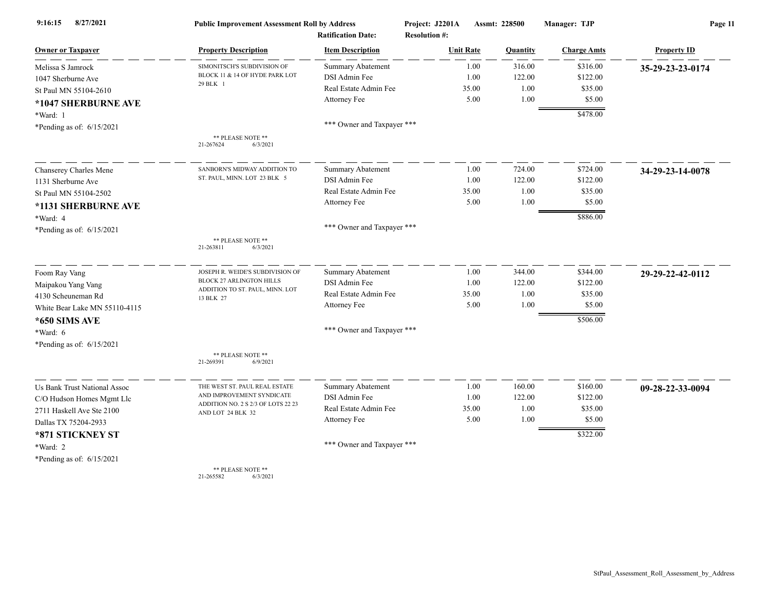| 8/27/2021<br>9:16:15          | <b>Public Improvement Assessment Roll by Address</b>    |                                                      | Project: J2201A                          | Assmt: 228500 |          | Manager: TJP       | Page 11            |  |
|-------------------------------|---------------------------------------------------------|------------------------------------------------------|------------------------------------------|---------------|----------|--------------------|--------------------|--|
| <b>Owner or Taxpayer</b>      | <b>Property Description</b>                             | <b>Ratification Date:</b><br><b>Item Description</b> | <b>Resolution #:</b><br><b>Unit Rate</b> |               | Quantity | <b>Charge Amts</b> | <b>Property ID</b> |  |
| Melissa S Jamrock             | SIMONITSCH'S SUBDIVISION OF                             | <b>Summary Abatement</b>                             |                                          | 1.00          | 316.00   | \$316.00           | 35-29-23-23-0174   |  |
| 1047 Sherburne Ave            | BLOCK 11 & 14 OF HYDE PARK LOT                          | DSI Admin Fee                                        |                                          | 1.00          | 122.00   | \$122.00           |                    |  |
| St Paul MN 55104-2610         | 29 BLK 1                                                | Real Estate Admin Fee                                |                                          | 35.00         | 1.00     | \$35.00            |                    |  |
| *1047 SHERBURNE AVE           |                                                         | Attorney Fee                                         |                                          | 5.00          | 1.00     | \$5.00             |                    |  |
| *Ward: 1                      |                                                         |                                                      |                                          |               |          | \$478.00           |                    |  |
| *Pending as of: $6/15/2021$   |                                                         | *** Owner and Taxpayer ***                           |                                          |               |          |                    |                    |  |
|                               | ** PLEASE NOTE **<br>21-267624<br>6/3/2021              |                                                      |                                          |               |          |                    |                    |  |
| Chanserey Charles Mene        | SANBORN'S MIDWAY ADDITION TO                            | <b>Summary Abatement</b>                             |                                          | 1.00          | 724.00   | \$724.00           | 34-29-23-14-0078   |  |
| 1131 Sherburne Ave            | ST. PAUL, MINN. LOT 23 BLK 5                            | DSI Admin Fee                                        |                                          | 1.00          | 122.00   | \$122.00           |                    |  |
| St Paul MN 55104-2502         |                                                         | Real Estate Admin Fee                                |                                          | 35.00         | 1.00     | \$35.00            |                    |  |
| *1131 SHERBURNE AVE           |                                                         | Attorney Fee                                         |                                          | 5.00          | 1.00     | \$5.00             |                    |  |
| *Ward: 4                      |                                                         |                                                      |                                          |               |          | \$886.00           |                    |  |
| *Pending as of: $6/15/2021$   |                                                         | *** Owner and Taxpayer ***                           |                                          |               |          |                    |                    |  |
|                               | ** PLEASE NOTE **<br>6/3/2021<br>21-263811              |                                                      |                                          |               |          |                    |                    |  |
| Foom Ray Vang                 | JOSEPH R. WEIDE'S SUBDIVISION OF                        | Summary Abatement                                    |                                          | 1.00          | 344.00   | \$344.00           | 29-29-22-42-0112   |  |
| Maipakou Yang Vang            | <b>BLOCK 27 ARLINGTON HILLS</b>                         | DSI Admin Fee                                        |                                          | 1.00          | 122.00   | \$122.00           |                    |  |
| 4130 Scheuneman Rd            | ADDITION TO ST. PAUL, MINN. LOT<br>13 BLK 27            | Real Estate Admin Fee                                |                                          | 35.00         | 1.00     | \$35.00            |                    |  |
| White Bear Lake MN 55110-4115 |                                                         | Attorney Fee                                         |                                          | 5.00          | 1.00     | \$5.00             |                    |  |
| *650 SIMS AVE                 |                                                         |                                                      |                                          |               |          | \$506.00           |                    |  |
| *Ward: 6                      |                                                         | *** Owner and Taxpayer ***                           |                                          |               |          |                    |                    |  |
| *Pending as of: 6/15/2021     |                                                         |                                                      |                                          |               |          |                    |                    |  |
|                               | ** PLEASE NOTE **<br>21-269391<br>6/9/2021              |                                                      |                                          |               |          |                    |                    |  |
| Us Bank Trust National Assoc  | THE WEST ST. PAUL REAL ESTATE                           | Summary Abatement                                    |                                          | 1.00          | 160.00   | \$160.00           | 09-28-22-33-0094   |  |
| C/O Hudson Homes Mgmt Llc     | AND IMPROVEMENT SYNDICATE                               | DSI Admin Fee                                        |                                          | 1.00          | 122.00   | \$122.00           |                    |  |
| 2711 Haskell Ave Ste 2100     | ADDITION NO. 2 S 2/3 OF LOTS 22 23<br>AND LOT 24 BLK 32 | Real Estate Admin Fee                                |                                          | 35.00         | 1.00     | \$35.00            |                    |  |
| Dallas TX 75204-2933          |                                                         | Attorney Fee                                         |                                          | 5.00          | 1.00     | \$5.00             |                    |  |
| *871 STICKNEY ST              |                                                         |                                                      |                                          |               |          | \$322.00           |                    |  |
| *Ward: 2                      |                                                         | *** Owner and Taxpayer ***                           |                                          |               |          |                    |                    |  |
| *Pending as of: $6/15/2021$   |                                                         |                                                      |                                          |               |          |                    |                    |  |
|                               | ** PLEASE NOTE **                                       |                                                      |                                          |               |          |                    |                    |  |

21-265582 6/3/2021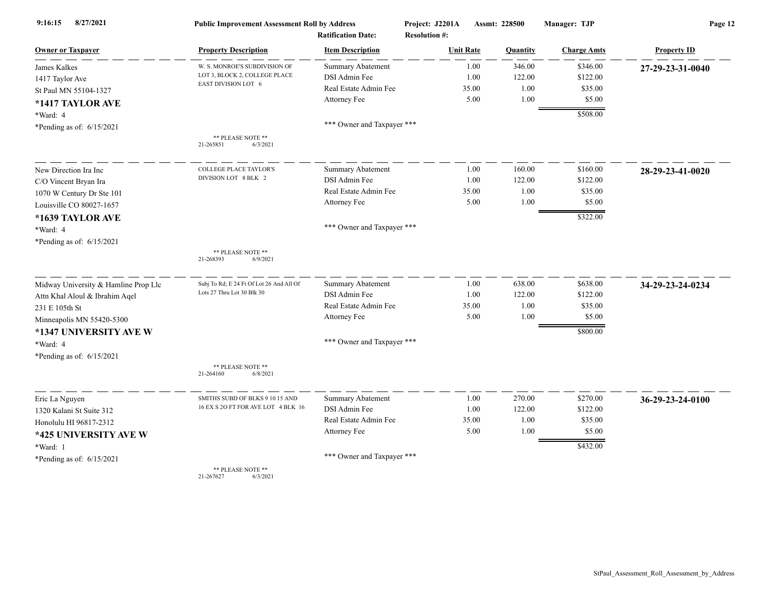| 8/27/2021<br>9:16:15                 | <b>Public Improvement Assessment Roll by Address</b> |                            | Project: J2201A      |       | Assmt: 228500 | Manager: TJP       | Page 12            |  |
|--------------------------------------|------------------------------------------------------|----------------------------|----------------------|-------|---------------|--------------------|--------------------|--|
|                                      |                                                      | <b>Ratification Date:</b>  | <b>Resolution #:</b> |       |               |                    |                    |  |
| <b>Owner or Taxpayer</b>             | <b>Property Description</b>                          | <b>Item Description</b>    | <b>Unit Rate</b>     |       | Quantity      | <b>Charge Amts</b> | <b>Property ID</b> |  |
| James Kalkes                         | W. S. MONROE'S SUBDIVISION OF                        | Summary Abatement          |                      | 1.00  | 346.00        | \$346.00           | 27-29-23-31-0040   |  |
| 1417 Taylor Ave                      | LOT 3, BLOCK 2, COLLEGE PLACE<br>EAST DIVISION LOT 6 | DSI Admin Fee              |                      | 1.00  | 122.00        | \$122.00           |                    |  |
| St Paul MN 55104-1327                |                                                      | Real Estate Admin Fee      |                      | 35.00 | 1.00          | \$35.00            |                    |  |
| *1417 TAYLOR AVE                     |                                                      | Attorney Fee               |                      | 5.00  | 1.00          | \$5.00             |                    |  |
| *Ward: 4                             |                                                      |                            |                      |       |               | \$508.00           |                    |  |
| *Pending as of: $6/15/2021$          |                                                      | *** Owner and Taxpayer *** |                      |       |               |                    |                    |  |
|                                      | ** PLEASE NOTE **<br>21-265851<br>6/3/2021           |                            |                      |       |               |                    |                    |  |
| New Direction Ira Inc                | <b>COLLEGE PLACE TAYLOR'S</b>                        | Summary Abatement          |                      | 1.00  | 160.00        | \$160.00           | 28-29-23-41-0020   |  |
| C/O Vincent Bryan Ira                | DIVISION LOT 8 BLK 2                                 | DSI Admin Fee              |                      | 1.00  | 122.00        | \$122.00           |                    |  |
| 1070 W Century Dr Ste 101            |                                                      | Real Estate Admin Fee      |                      | 35.00 | 1.00          | \$35.00            |                    |  |
| Louisville CO 80027-1657             |                                                      | Attorney Fee               |                      | 5.00  | 1.00          | \$5.00             |                    |  |
| *1639 TAYLOR AVE                     |                                                      |                            |                      |       |               | \$322.00           |                    |  |
| *Ward: 4                             |                                                      | *** Owner and Taxpayer *** |                      |       |               |                    |                    |  |
| *Pending as of: 6/15/2021            |                                                      |                            |                      |       |               |                    |                    |  |
|                                      | ** PLEASE NOTE **<br>21-268393<br>6/9/2021           |                            |                      |       |               |                    |                    |  |
| Midway University & Hamline Prop Llc | Subj To Rd; E 24 Ft Of Lot 26 And All Of             | <b>Summary Abatement</b>   |                      | 1.00  | 638.00        | \$638.00           | 34-29-23-24-0234   |  |
| Attn Khal Aloul & Ibrahim Aqel       | Lots 27 Thru Lot 30 Blk 30                           | DSI Admin Fee              |                      | 1.00  | 122.00        | \$122.00           |                    |  |
| 231 E 105th St                       |                                                      | Real Estate Admin Fee      |                      | 35.00 | 1.00          | \$35.00            |                    |  |
| Minneapolis MN 55420-5300            |                                                      | Attorney Fee               |                      | 5.00  | 1.00          | \$5.00             |                    |  |
| *1347 UNIVERSITY AVE W               |                                                      |                            |                      |       |               | \$800.00           |                    |  |
| *Ward: 4                             |                                                      | *** Owner and Taxpayer *** |                      |       |               |                    |                    |  |
| *Pending as of: 6/15/2021            |                                                      |                            |                      |       |               |                    |                    |  |
|                                      | ** PLEASE NOTE **<br>21-264160<br>6/8/2021           |                            |                      |       |               |                    |                    |  |
| Eric La Nguyen                       | SMITHS SUBD OF BLKS 9 10 15 AND                      | Summary Abatement          |                      | 1.00  | 270.00        | \$270.00           | 36-29-23-24-0100   |  |
| 1320 Kalani St Suite 312             | 16 EX S 2O FT FOR AVE LOT 4 BLK 16                   | DSI Admin Fee              |                      | 1.00  | 122.00        | \$122.00           |                    |  |
| Honolulu HI 96817-2312               |                                                      | Real Estate Admin Fee      |                      | 35.00 | 1.00          | \$35.00            |                    |  |
| *425 UNIVERSITY AVE W                |                                                      | Attorney Fee               |                      | 5.00  | 1.00          | \$5.00             |                    |  |
| *Ward: 1                             |                                                      |                            |                      |       |               | \$432.00           |                    |  |
| *Pending as of: $6/15/2021$          |                                                      | *** Owner and Taxpayer *** |                      |       |               |                    |                    |  |
|                                      | ** PLEASE NOTE **                                    |                            |                      |       |               |                    |                    |  |

21-267627 6/3/2021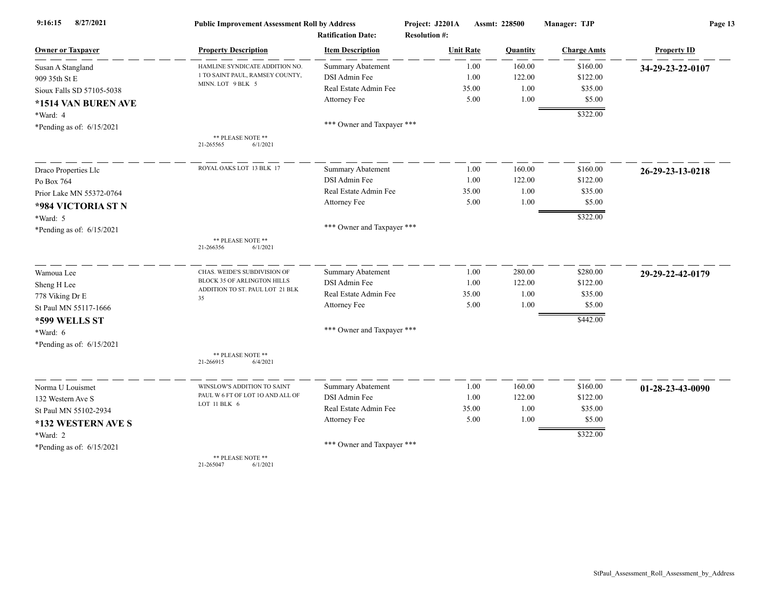| 8/27/2021<br>9:16:15<br><b>Owner or Taxpayer</b> | <b>Public Improvement Assessment Roll by Address</b><br><b>Ratification Date:</b> |                            | Project: J2201A<br><b>Resolution #:</b> | Assmt: 228500 | Manager: TJP       | Page 13            |  |
|--------------------------------------------------|-----------------------------------------------------------------------------------|----------------------------|-----------------------------------------|---------------|--------------------|--------------------|--|
|                                                  | <b>Property Description</b>                                                       | <b>Item Description</b>    | <b>Unit Rate</b>                        | Quantity      | <b>Charge Amts</b> | <b>Property ID</b> |  |
| Susan A Stangland                                | HAMLINE SYNDICATE ADDITION NO.                                                    | <b>Summary Abatement</b>   | 1.00                                    | 160.00        | \$160.00           | 34-29-23-22-0107   |  |
| 909 35th St E                                    | 1 TO SAINT PAUL, RAMSEY COUNTY,                                                   | DSI Admin Fee              | 1.00                                    | 122.00        | \$122.00           |                    |  |
| Sioux Falls SD 57105-5038                        | MINN. LOT 9 BLK 5                                                                 | Real Estate Admin Fee      | 35.00                                   | 1.00          | \$35.00            |                    |  |
| *1514 VAN BUREN AVE                              |                                                                                   | Attorney Fee               | 5.00                                    | 1.00          | \$5.00             |                    |  |
| *Ward: 4                                         |                                                                                   |                            |                                         |               | \$322.00           |                    |  |
| *Pending as of: 6/15/2021                        |                                                                                   | *** Owner and Taxpayer *** |                                         |               |                    |                    |  |
|                                                  | ** PLEASE NOTE **<br>21-265565<br>6/1/2021                                        |                            |                                         |               |                    |                    |  |
| Draco Properties Llc                             | ROYAL OAKS LOT 13 BLK 17                                                          | Summary Abatement          | 1.00                                    | 160.00        | \$160.00           | 26-29-23-13-0218   |  |
| Po Box 764                                       |                                                                                   | DSI Admin Fee              | 1.00                                    | 122.00        | \$122.00           |                    |  |
| Prior Lake MN 55372-0764                         |                                                                                   | Real Estate Admin Fee      | 35.00                                   | 1.00          | \$35.00            |                    |  |
| *984 VICTORIA ST N                               |                                                                                   | Attorney Fee               | 5.00                                    | 1.00          | \$5.00             |                    |  |
| *Ward: 5                                         |                                                                                   |                            |                                         |               | \$322.00           |                    |  |
| *Pending as of: 6/15/2021                        |                                                                                   | *** Owner and Taxpayer *** |                                         |               |                    |                    |  |
|                                                  | ** PLEASE NOTE **<br>21-266356<br>6/1/2021                                        |                            |                                         |               |                    |                    |  |
| Wamoua Lee                                       | CHAS. WEIDE'S SUBDIVISION OF                                                      | <b>Summary Abatement</b>   | 1.00                                    | 280.00        | \$280.00           | 29-29-22-42-0179   |  |
| Sheng H Lee                                      | BLOCK 35 OF ARLINGTON HILLS<br>ADDITION TO ST. PAUL LOT 21 BLK                    | DSI Admin Fee              | 1.00                                    | 122.00        | \$122.00           |                    |  |
| 778 Viking Dr E                                  | 35                                                                                | Real Estate Admin Fee      | 35.00                                   | 1.00          | \$35.00            |                    |  |
| St Paul MN 55117-1666                            |                                                                                   | Attorney Fee               | 5.00                                    | 1.00          | \$5.00             |                    |  |
| *599 WELLS ST                                    |                                                                                   |                            |                                         |               | \$442.00           |                    |  |
| *Ward: 6                                         |                                                                                   | *** Owner and Taxpayer *** |                                         |               |                    |                    |  |
| *Pending as of: 6/15/2021                        |                                                                                   |                            |                                         |               |                    |                    |  |
|                                                  | ** PLEASE NOTE **<br>21-266915<br>6/4/2021                                        |                            |                                         |               |                    |                    |  |
| Norma U Louismet                                 | WINSLOW'S ADDITION TO SAINT                                                       | Summary Abatement          | 1.00                                    | 160.00        | \$160.00           | 01-28-23-43-0090   |  |
| 132 Western Ave S                                | PAUL W 6 FT OF LOT 10 AND ALL OF                                                  | DSI Admin Fee              | 1.00                                    | 122.00        | \$122.00           |                    |  |
| St Paul MN 55102-2934                            | LOT 11 BLK 6                                                                      | Real Estate Admin Fee      | 35.00                                   | 1.00          | \$35.00            |                    |  |
| *132 WESTERN AVE S                               |                                                                                   | Attorney Fee               | 5.00                                    | 1.00          | \$5.00             |                    |  |
| *Ward: 2                                         |                                                                                   |                            |                                         |               | \$322.00           |                    |  |
| *Pending as of: $6/15/2021$                      |                                                                                   | *** Owner and Taxpayer *** |                                         |               |                    |                    |  |
|                                                  | ** PLEASE NOTE **<br>21.265047<br>6/1/202                                         |                            |                                         |               |                    |                    |  |

21-265047 6/1/2021